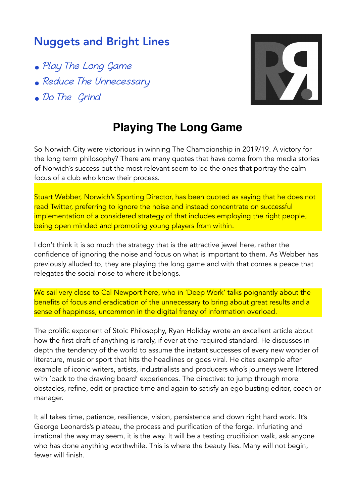## Nuggets and Bright Lines

- Play The Long Game
- Reduce The Unnecessary
- Do The Grind



## **Playing The Long Game**

So Norwich City were victorious in winning The Championship in 2019/19. A victory for the long term philosophy? There are many quotes that have come from the media stories of Norwich's success but the most relevant seem to be the ones that portray the calm focus of a club who know their process.

Stuart Webber, Norwich's Sporting Director, has been quoted as saying that he does not read Twitter, preferring to ignore the noise and instead concentrate on successful implementation of a considered strategy of that includes employing the right people, being open minded and promoting young players from within.

I don't think it is so much the strategy that is the attractive jewel here, rather the confidence of ignoring the noise and focus on what is important to them. As Webber has previously alluded to, they are playing the long game and with that comes a peace that relegates the social noise to where it belongs.

We sail very close to Cal Newport here, who in 'Deep Work' talks poignantly about the benefits of focus and eradication of the unnecessary to bring about great results and a sense of happiness, uncommon in the digital frenzy of information overload.

The prolific exponent of Stoic Philosophy, Ryan Holiday wrote an excellent article about how the first draft of anything is rarely, if ever at the required standard. He discusses in depth the tendency of the world to assume the instant successes of every new wonder of literature, music or sport that hits the headlines or goes viral. He cites example after example of iconic writers, artists, industrialists and producers who's journeys were littered with 'back to the drawing board' experiences. The directive: to jump through more obstacles, refine, edit or practice time and again to satisfy an ego busting editor, coach or manager.

It all takes time, patience, resilience, vision, persistence and down right hard work. It's George Leonards's plateau, the process and purification of the forge. Infuriating and irrational the way may seem, it is the way. It will be a testing crucifixion walk, ask anyone who has done anything worthwhile. This is where the beauty lies. Many will not begin, fewer will finish.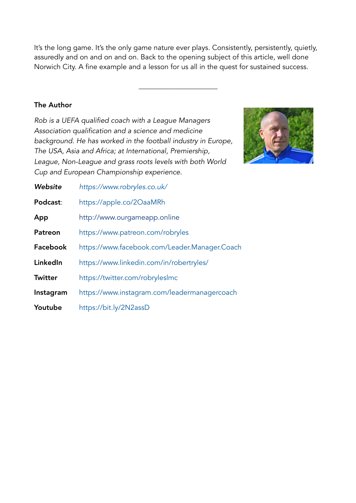It's the long game. It's the only game nature ever plays. Consistently, persistently, quietly, assuredly and on and on and on. Back to the opening subject of this article, well done Norwich City. A fine example and a lesson for us all in the quest for sustained success.

\_\_\_\_\_\_\_\_\_\_\_\_\_\_\_\_\_\_\_\_\_\_

## The Author

*Rob is a UEFA qualified coach with a League Managers Association qualification and a science and medicine background. He has worked in the football industry in Europe, The USA, Asia and Africa; at International, Premiership, League, Non-League and grass roots levels with both World Cup and European Championship experience.* 



| Website        | https://www.robryles.co.uk/                   |
|----------------|-----------------------------------------------|
| Podcast:       | https://apple.co/2OaaMRh                      |
| App            | http://www.ourgameapp.online                  |
| <b>Patreon</b> | https://www.patreon.com/robryles              |
| Facebook       | https://www.facebook.com/Leader.Manager.Coach |
| LinkedIn       | https://www.linkedin.com/in/robertryles/      |
| Twitter        | https://twitter.com/robryleslmc               |
| Instagram      | https://www.instagram.com/leadermanagercoach  |
| Youtube        | https://bit.ly/2N2assD                        |